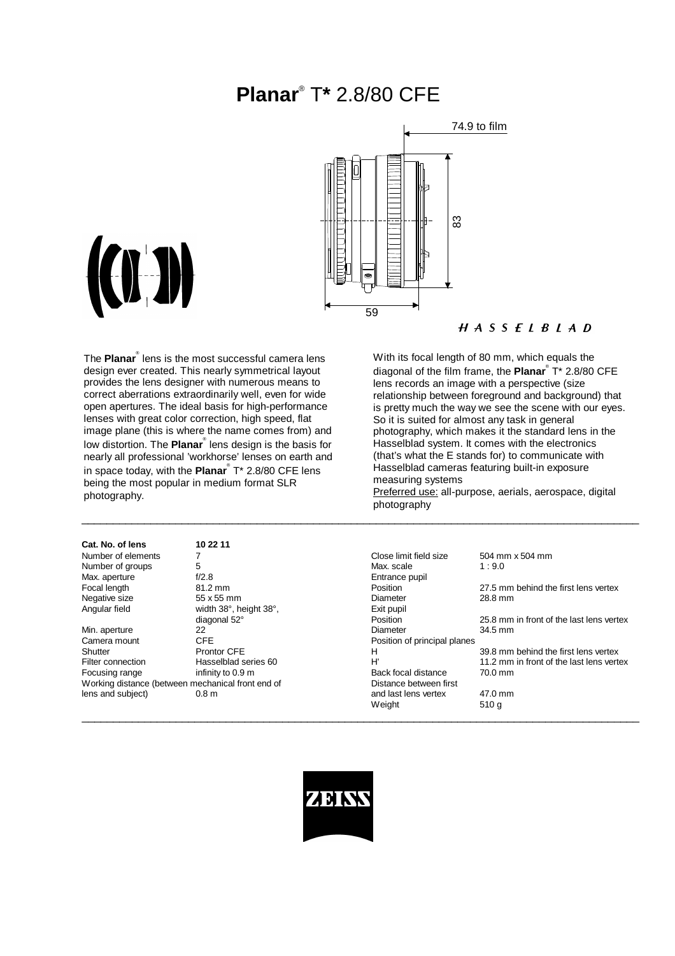# **Planar**® T**\*** 2.8/80 CFE



measuring systems

photography



With its focal length of 80 mm, which equals the diagonal of the film frame, the **Planar**® T\* 2.8/80 CFE lens records an image with a perspective (size relationship between foreground and background) that is pretty much the way we see the scene with our eyes.

So it is suited for almost any task in general

photography, which makes it the standard lens in the Hasselblad system. It comes with the electronics (that's what the E stands for) to communicate with Hasselblad cameras featuring built-in exposure

Preferred use: all-purpose, aerials, aerospace, digital

The **Planar**® lens is the most successful camera lens design ever created. This nearly symmetrical layout provides the lens designer with numerous means to correct aberrations extraordinarily well, even for wide open apertures. The ideal basis for high-performance lenses with great color correction, high speed, flat image plane (this is where the name comes from) and low distortion. The **Planar**<sup>®</sup> lens design is the basis for nearly all professional 'workhorse' lenses on earth and in space today, with the **Planar**® T\* 2.8/80 CFE lens being the most popular in medium format SLR photography.

| Cat. No. of lens                                  | 10 22 11               |                              |                                          |
|---------------------------------------------------|------------------------|------------------------------|------------------------------------------|
| Number of elements                                |                        | Close limit field size       | 504 mm x 504 mm                          |
| Number of groups                                  | 5                      | Max. scale                   | 1:9.0                                    |
| Max. aperture                                     | f/2.8                  | Entrance pupil               |                                          |
| Focal length                                      | $81.2 \text{ mm}$      | Position                     | 27.5 mm behind the first lens vertex     |
| Negative size                                     | 55 x 55 mm             | Diameter                     | 28.8 mm                                  |
| Angular field                                     | width 38°, height 38°, | Exit pupil                   |                                          |
|                                                   | diagonal 52°           | Position                     | 25.8 mm in front of the last lens vertex |
| Min. aperture                                     | 22                     | Diameter                     | 34.5 mm                                  |
| Camera mount                                      | CFE.                   | Position of principal planes |                                          |
| Shutter                                           | <b>Prontor CFE</b>     | H                            | 39.8 mm behind the first lens vertex     |
| Filter connection                                 | Hasselblad series 60   | H'                           | 11.2 mm in front of the last lens vertex |
| Focusing range                                    | infinity to 0.9 m      | Back focal distance          | 70.0 mm                                  |
| Working distance (between mechanical front end of |                        | Distance between first       |                                          |
| lens and subject)                                 | 0.8 <sub>m</sub>       | and last lens vertex         | 47.0 mm                                  |
|                                                   |                        | Weight                       | 510q                                     |
|                                                   |                        |                              |                                          |

\_\_\_\_\_\_\_\_\_\_\_\_\_\_\_\_\_\_\_\_\_\_\_\_\_\_\_\_\_\_\_\_\_\_\_\_\_\_\_\_\_\_\_\_\_\_\_\_\_\_\_\_\_\_\_\_\_\_\_\_\_\_\_\_\_\_\_\_\_\_\_\_\_\_\_\_\_\_\_\_\_\_\_\_\_\_\_\_\_